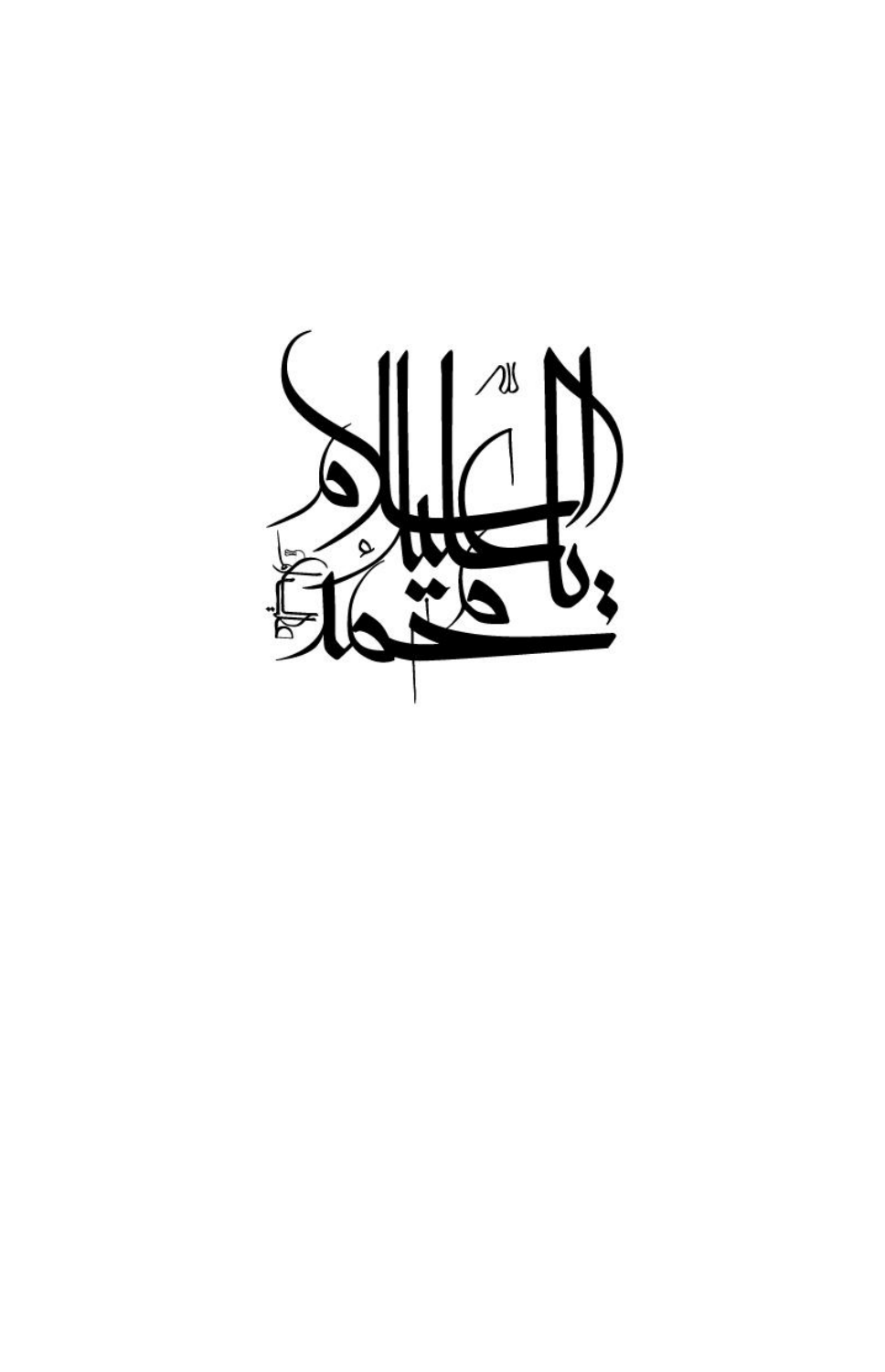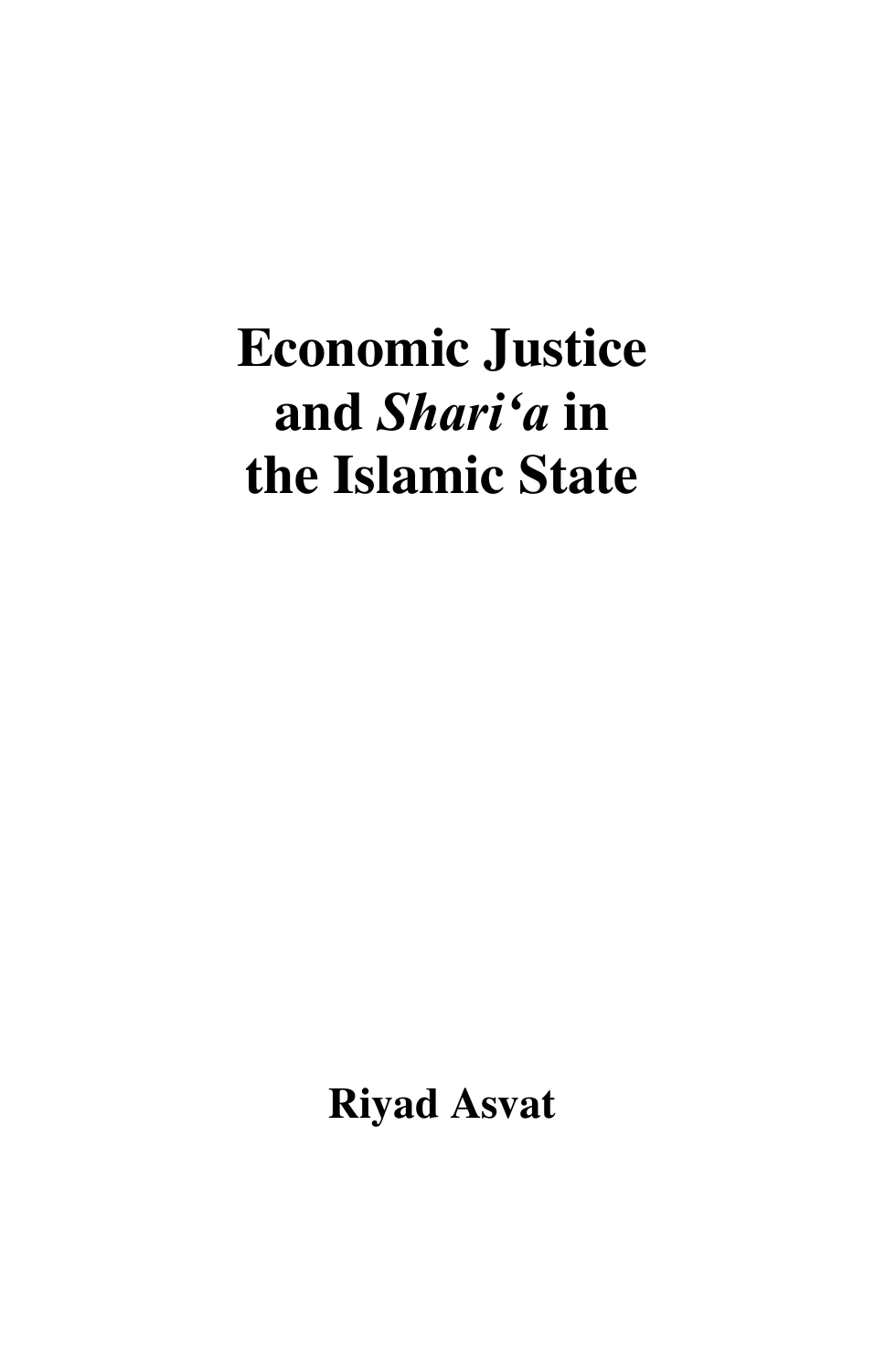# **Economic Justice and** *Shari'a* **in the Islamic State**

**Riyad Asvat**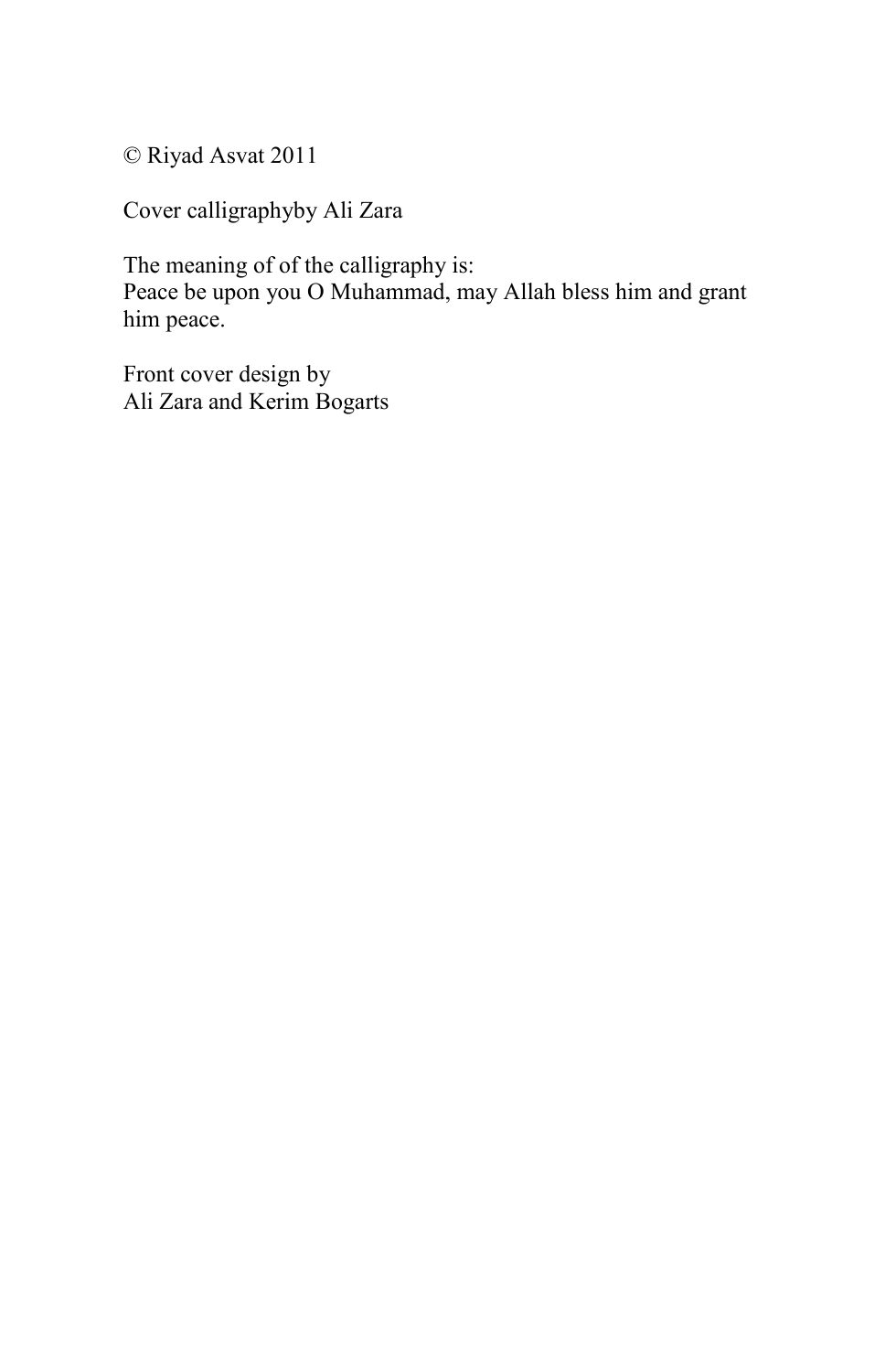© Riyad Asvat 2011

Cover calligraphyby Ali Zara

The meaning of of the calligraphy is: Peace be upon you O Muhammad, may Allah bless him and grant him peace.

Front cover design by Ali Zara and Kerim Bogarts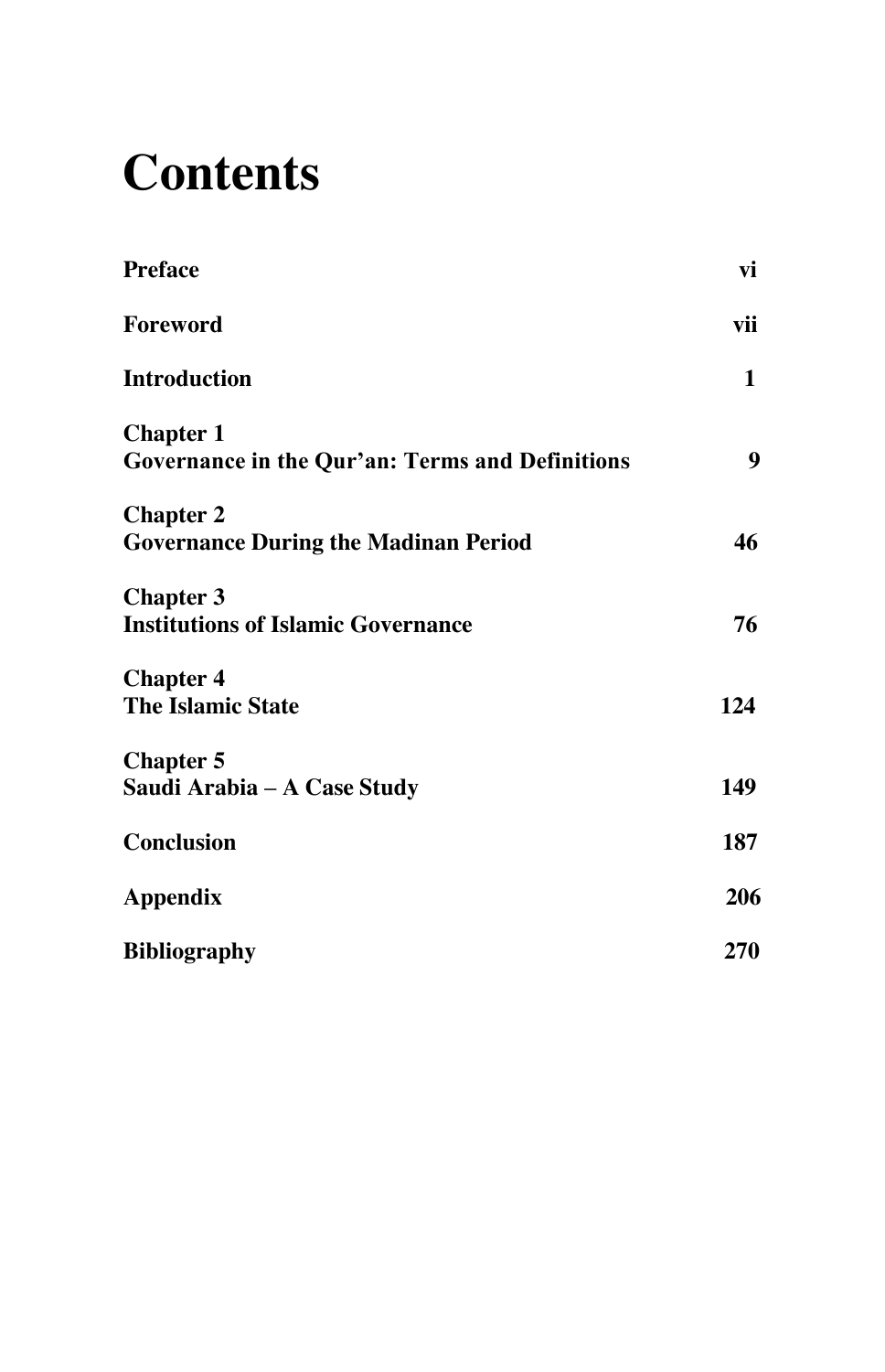## **Contents**

| Preface                                                                    | vi           |
|----------------------------------------------------------------------------|--------------|
| Foreword                                                                   | vii          |
| <b>Introduction</b>                                                        | $\mathbf{1}$ |
| <b>Chapter 1</b><br><b>Governance in the Qur'an: Terms and Definitions</b> | 9            |
| <b>Chapter 2</b><br><b>Governance During the Madinan Period</b>            | 46           |
| <b>Chapter 3</b><br><b>Institutions of Islamic Governance</b>              | 76           |
| <b>Chapter 4</b><br>The Islamic State                                      | 124          |
| <b>Chapter 5</b><br>Saudi Arabia – A Case Study                            | 149          |
| <b>Conclusion</b>                                                          | 187          |
| Appendix                                                                   | 206          |
| <b>Bibliography</b>                                                        | 270          |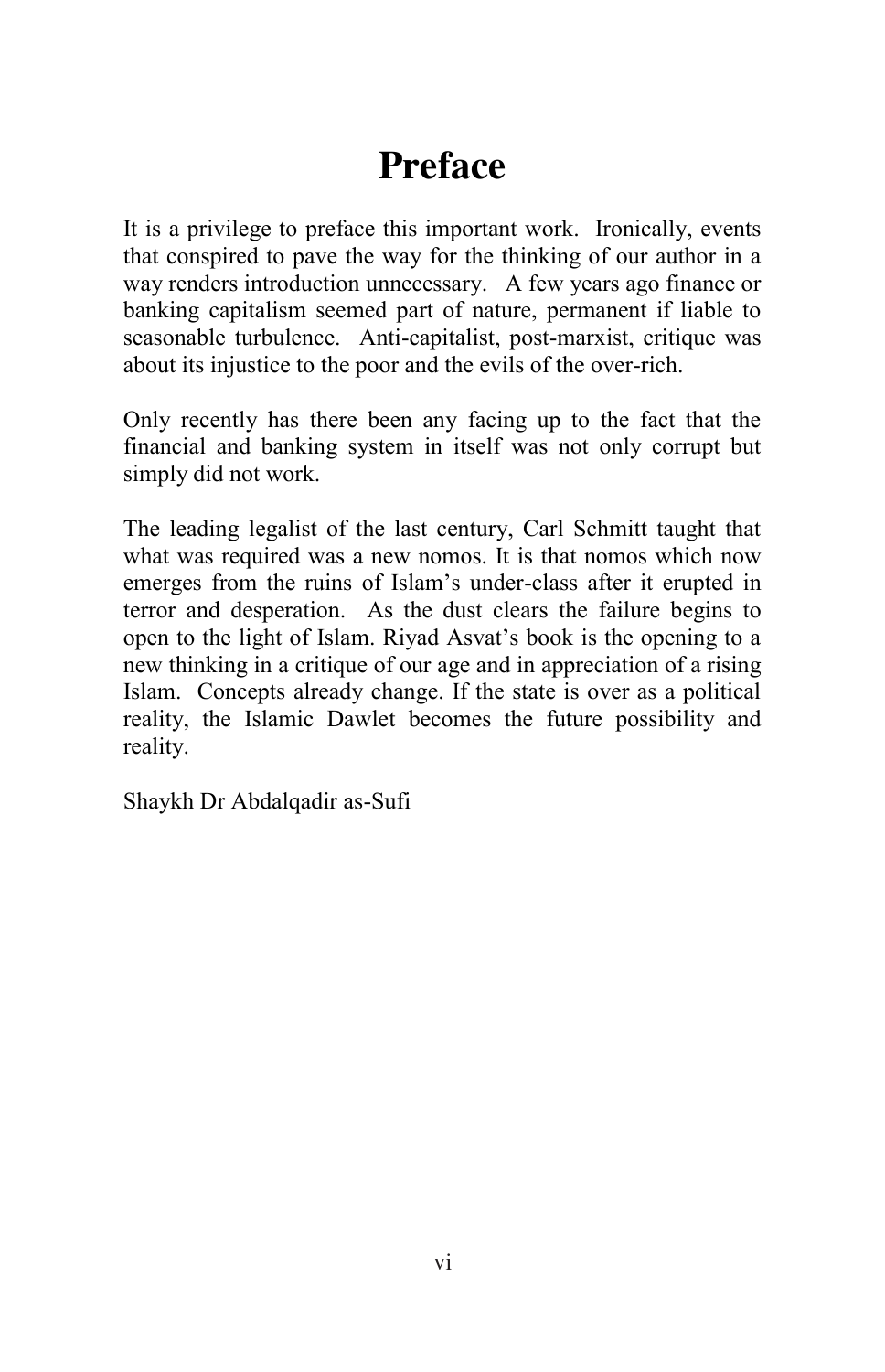### **Preface**

It is a privilege to preface this important work. Ironically, events that conspired to pave the way for the thinking of our author in a way renders introduction unnecessary. A few years ago finance or banking capitalism seemed part of nature, permanent if liable to seasonable turbulence. Anti-capitalist, post-marxist, critique was about its injustice to the poor and the evils of the over-rich.

Only recently has there been any facing up to the fact that the financial and banking system in itself was not only corrupt but simply did not work.

The leading legalist of the last century, Carl Schmitt taught that what was required was a new nomos. It is that nomos which now emerges from the ruins of Islam's under-class after it erupted in terror and desperation. As the dust clears the failure begins to open to the light of Islam. Riyad Asvat's book is the opening to a new thinking in a critique of our age and in appreciation of a rising Islam. Concepts already change. If the state is over as a political reality, the Islamic Dawlet becomes the future possibility and reality.

Shaykh Dr Abdalqadir as-Sufi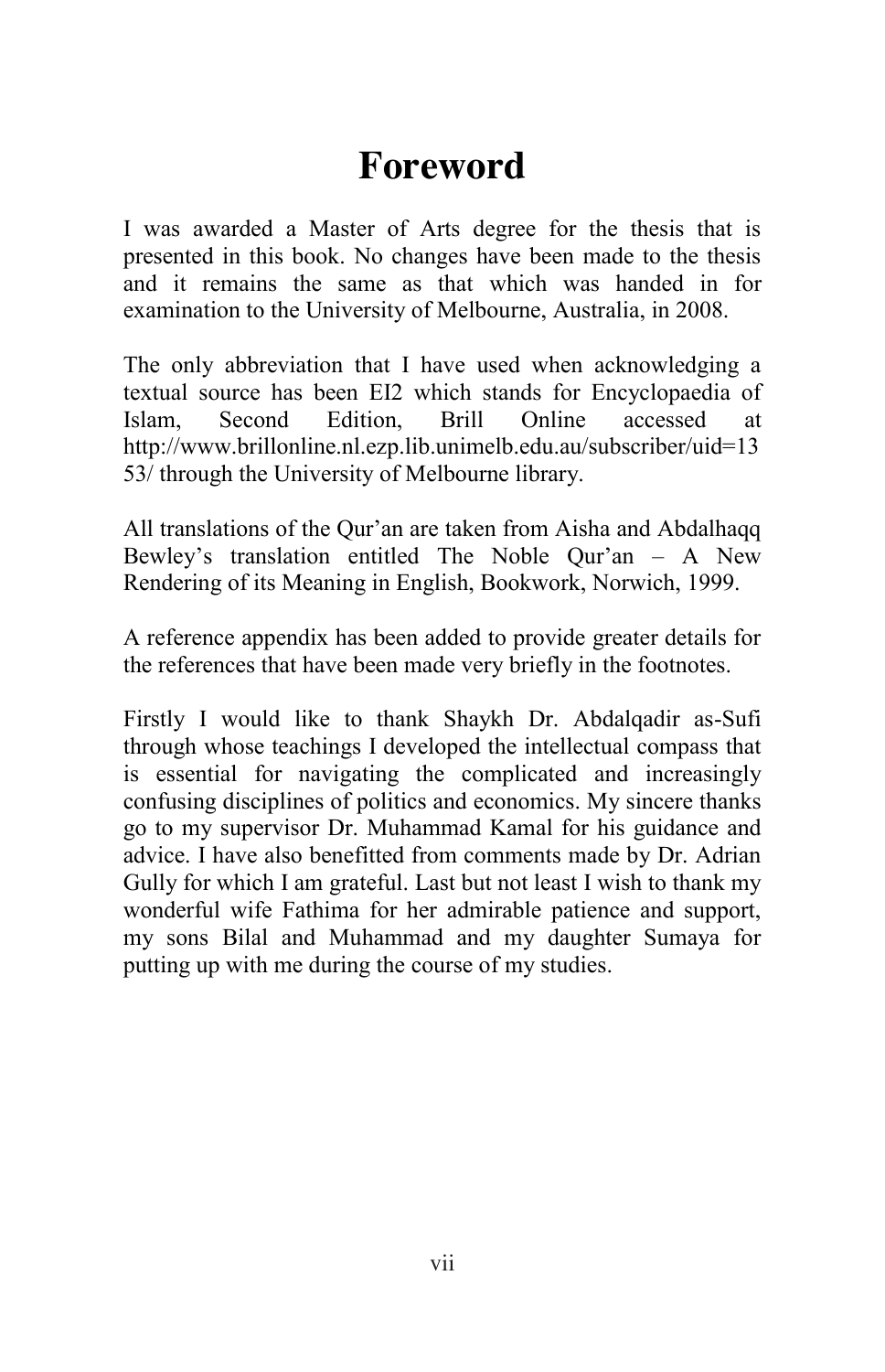#### **Foreword**

I was awarded a Master of Arts degree for the thesis that is presented in this book. No changes have been made to the thesis and it remains the same as that which was handed in for examination to the University of Melbourne, Australia, in 2008.

The only abbreviation that I have used when acknowledging a textual source has been EI2 which stands for Encyclopaedia of Islam, Second Edition, Brill Online accessed at http://www.brillonline.nl.ezp.lib.unimelb.edu.au/subscriber/uid=13 53/ through the University of Melbourne library.

All translations of the Qur'an are taken from Aisha and Abdalhaqq Bewley's translation entitled The Noble Qur'an – A New Rendering of its Meaning in English, Bookwork, Norwich, 1999.

A reference appendix has been added to provide greater details for the references that have been made very briefly in the footnotes.

Firstly I would like to thank Shaykh Dr. Abdalqadir as-Sufi through whose teachings I developed the intellectual compass that is essential for navigating the complicated and increasingly confusing disciplines of politics and economics. My sincere thanks go to my supervisor Dr. Muhammad Kamal for his guidance and advice. I have also benefitted from comments made by Dr. Adrian Gully for which I am grateful. Last but not least I wish to thank my wonderful wife Fathima for her admirable patience and support, my sons Bilal and Muhammad and my daughter Sumaya for putting up with me during the course of my studies.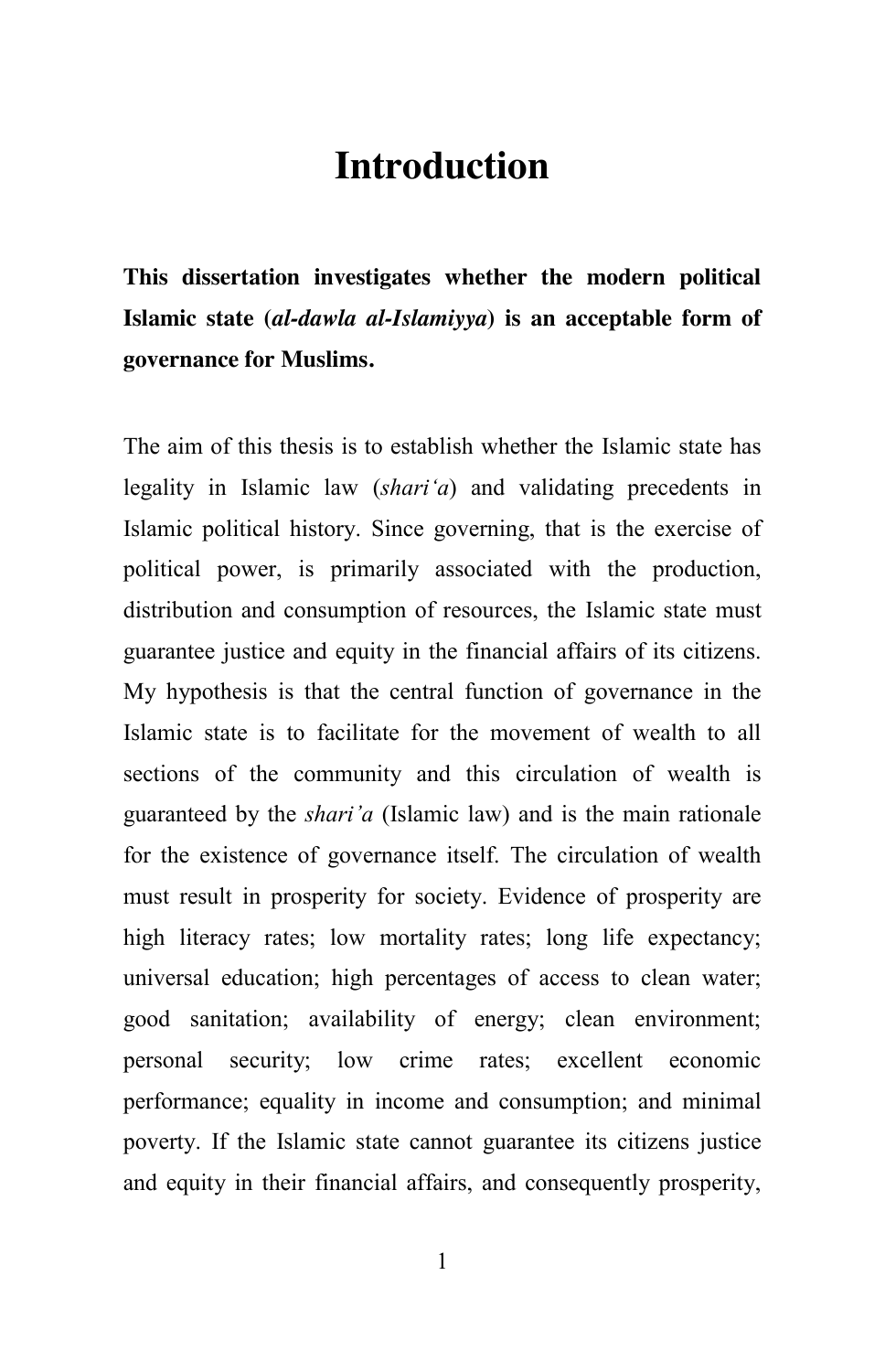#### **Introduction**

**This dissertation investigates whether the modern political Islamic state (***al-dawla al-Islamiyya***) is an acceptable form of governance for Muslims.**

The aim of this thesis is to establish whether the Islamic state has legality in Islamic law (*shari"a*) and validating precedents in Islamic political history. Since governing, that is the exercise of political power, is primarily associated with the production, distribution and consumption of resources, the Islamic state must guarantee justice and equity in the financial affairs of its citizens. My hypothesis is that the central function of governance in the Islamic state is to facilitate for the movement of wealth to all sections of the community and this circulation of wealth is guaranteed by the *shari"a* (Islamic law) and is the main rationale for the existence of governance itself. The circulation of wealth must result in prosperity for society. Evidence of prosperity are high literacy rates; low mortality rates; long life expectancy; universal education; high percentages of access to clean water; good sanitation; availability of energy; clean environment; personal security; low crime rates; excellent economic performance; equality in income and consumption; and minimal poverty. If the Islamic state cannot guarantee its citizens justice and equity in their financial affairs, and consequently prosperity,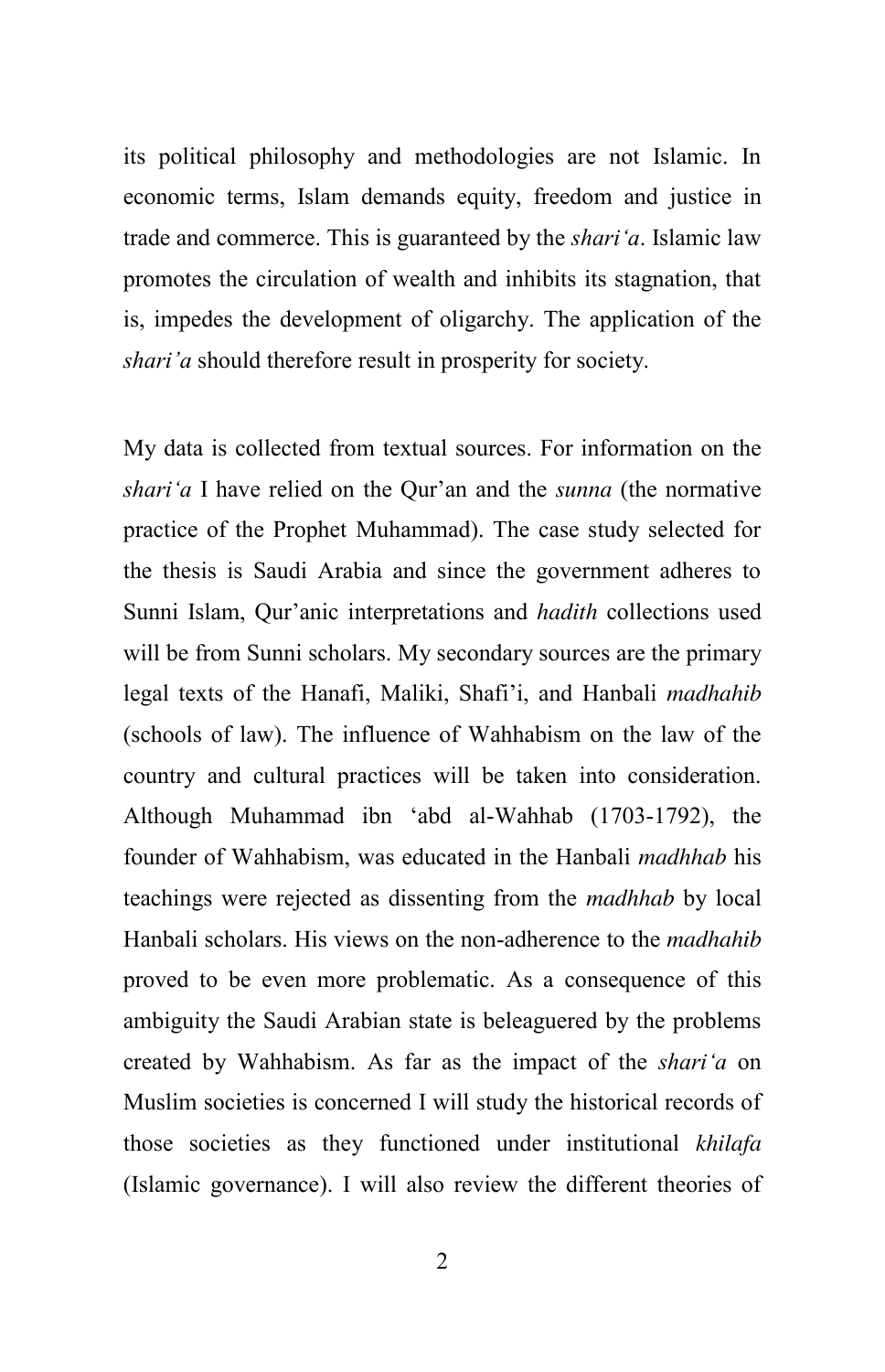its political philosophy and methodologies are not Islamic. In economic terms, Islam demands equity, freedom and justice in trade and commerce. This is guaranteed by the *shari"a*. Islamic law promotes the circulation of wealth and inhibits its stagnation, that is, impedes the development of oligarchy. The application of the *shari"a* should therefore result in prosperity for society.

My data is collected from textual sources. For information on the *shari"a* I have relied on the Qur'an and the *sunna* (the normative practice of the Prophet Muhammad). The case study selected for the thesis is Saudi Arabia and since the government adheres to Sunni Islam, Qur'anic interpretations and *hadith* collections used will be from Sunni scholars. My secondary sources are the primary legal texts of the Hanafi, Maliki, Shafi'i, and Hanbali *madhahib* (schools of law). The influence of Wahhabism on the law of the country and cultural practices will be taken into consideration. Although Muhammad ibn 'abd al-Wahhab (1703-1792), the founder of Wahhabism, was educated in the Hanbali *madhhab* his teachings were rejected as dissenting from the *madhhab* by local Hanbali scholars. His views on the non-adherence to the *madhahib* proved to be even more problematic. As a consequence of this ambiguity the Saudi Arabian state is beleaguered by the problems created by Wahhabism. As far as the impact of the *shari"a* on Muslim societies is concerned I will study the historical records of those societies as they functioned under institutional *khilafa* (Islamic governance). I will also review the different theories of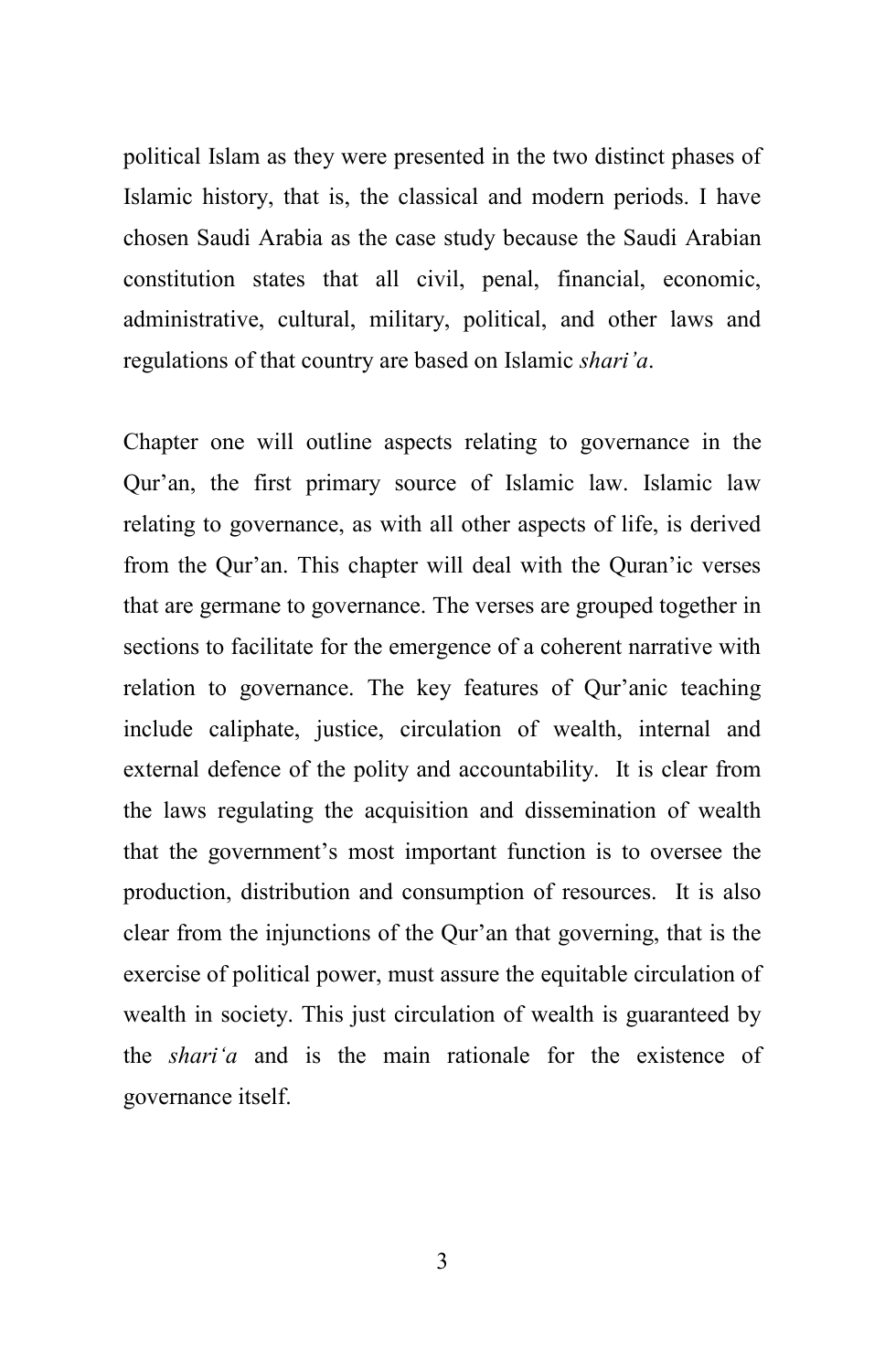political Islam as they were presented in the two distinct phases of Islamic history, that is, the classical and modern periods. I have chosen Saudi Arabia as the case study because the Saudi Arabian constitution states that all civil, penal, financial, economic, administrative, cultural, military, political, and other laws and regulations of that country are based on Islamic *shari"a*.

Chapter one will outline aspects relating to governance in the Qur'an, the first primary source of Islamic law. Islamic law relating to governance, as with all other aspects of life, is derived from the Qur'an. This chapter will deal with the Quran'ic verses that are germane to governance. The verses are grouped together in sections to facilitate for the emergence of a coherent narrative with relation to governance. The key features of Qur'anic teaching include caliphate, justice, circulation of wealth, internal and external defence of the polity and accountability. It is clear from the laws regulating the acquisition and dissemination of wealth that the government's most important function is to oversee the production, distribution and consumption of resources. It is also clear from the injunctions of the Qur'an that governing, that is the exercise of political power, must assure the equitable circulation of wealth in society. This just circulation of wealth is guaranteed by the *shari"a* and is the main rationale for the existence of governance itself.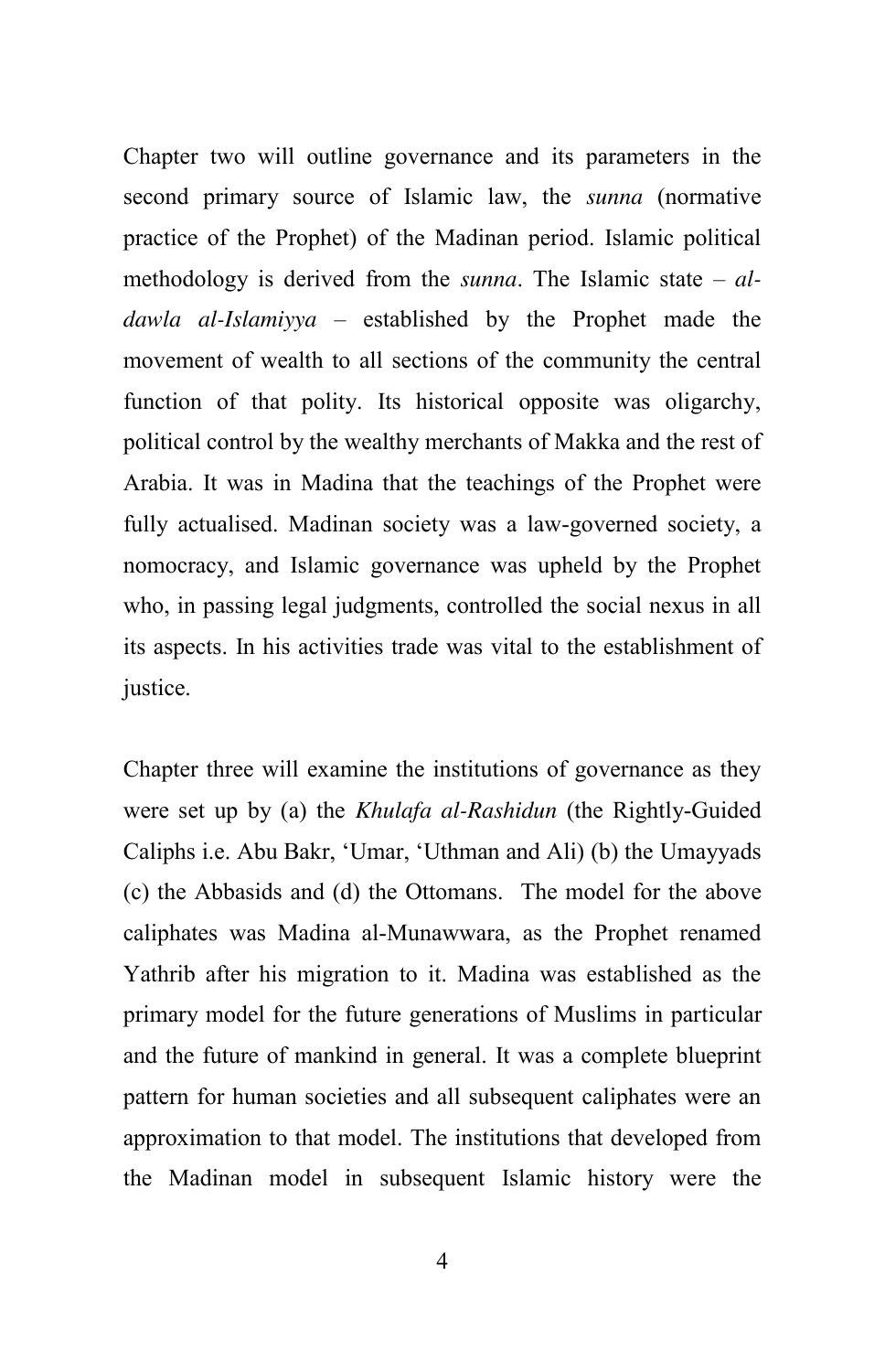Chapter two will outline governance and its parameters in the second primary source of Islamic law, the *sunna* (normative practice of the Prophet) of the Madinan period. Islamic political methodology is derived from the *sunna*. The Islamic state – *aldawla al-Islamiyya –* established by the Prophet made the movement of wealth to all sections of the community the central function of that polity. Its historical opposite was oligarchy, political control by the wealthy merchants of Makka and the rest of Arabia. It was in Madina that the teachings of the Prophet were fully actualised. Madinan society was a law-governed society, a nomocracy, and Islamic governance was upheld by the Prophet who, in passing legal judgments, controlled the social nexus in all its aspects. In his activities trade was vital to the establishment of justice.

Chapter three will examine the institutions of governance as they were set up by (a) the *Khulafa al-Rashidun* (the Rightly-Guided Caliphs i.e. Abu Bakr, ‗Umar, ‗Uthman and Ali) (b) the Umayyads (c) the Abbasids and (d) the Ottomans. The model for the above caliphates was Madina al-Munawwara, as the Prophet renamed Yathrib after his migration to it. Madina was established as the primary model for the future generations of Muslims in particular and the future of mankind in general. It was a complete blueprint pattern for human societies and all subsequent caliphates were an approximation to that model. The institutions that developed from the Madinan model in subsequent Islamic history were the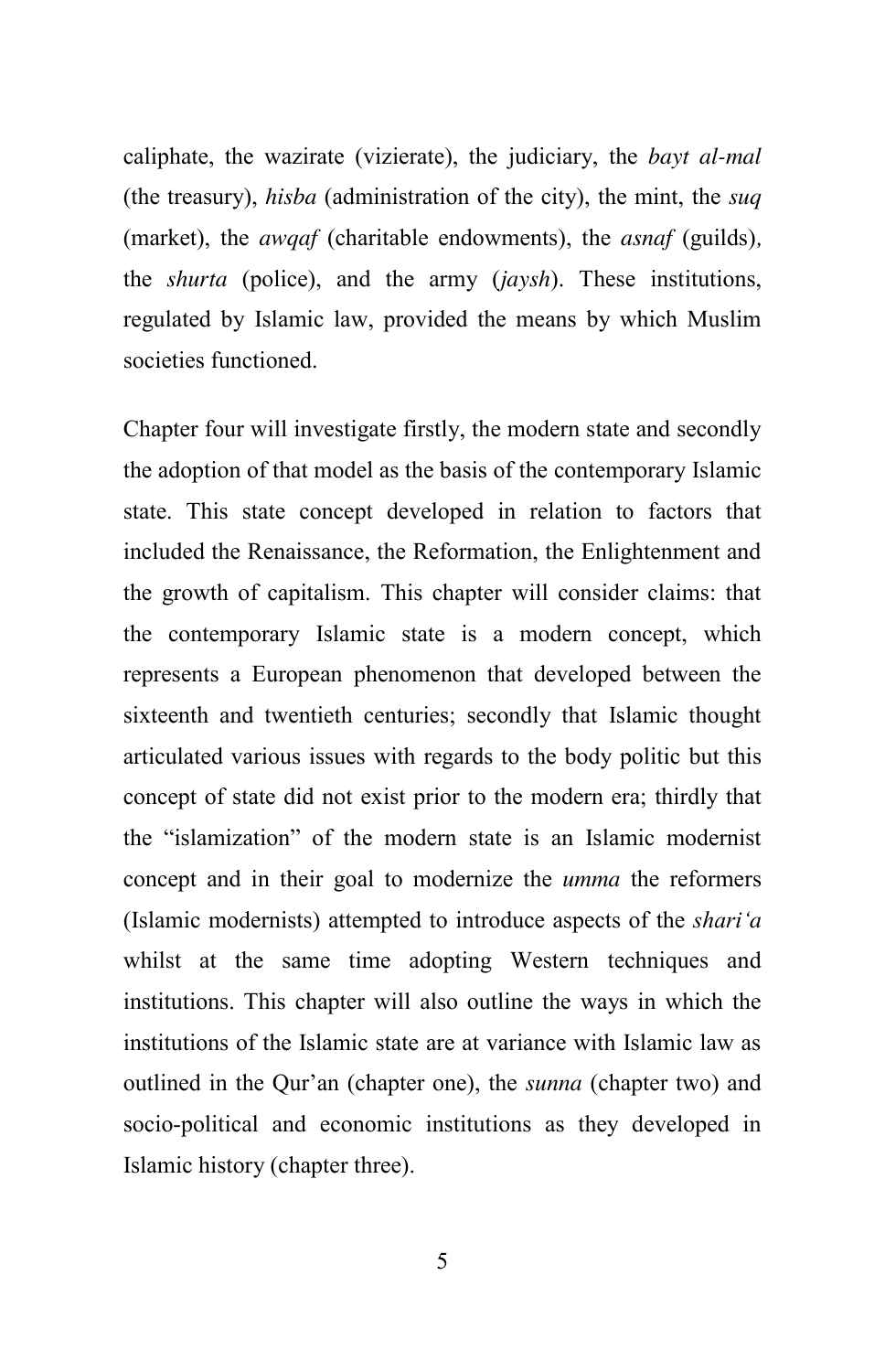caliphate, the wazirate (vizierate), the judiciary, the *bayt al-mal* (the treasury), *hisba* (administration of the city), the mint, the *suq*  (market), the *awqaf* (charitable endowments), the *asnaf* (guilds)*,* the *shurta* (police), and the army (*jaysh*). These institutions, regulated by Islamic law, provided the means by which Muslim societies functioned.

Chapter four will investigate firstly, the modern state and secondly the adoption of that model as the basis of the contemporary Islamic state. This state concept developed in relation to factors that included the Renaissance, the Reformation, the Enlightenment and the growth of capitalism. This chapter will consider claims: that the contemporary Islamic state is a modern concept, which represents a European phenomenon that developed between the sixteenth and twentieth centuries; secondly that Islamic thought articulated various issues with regards to the body politic but this concept of state did not exist prior to the modern era; thirdly that the "islamization" of the modern state is an Islamic modernist concept and in their goal to modernize the *umma* the reformers (Islamic modernists) attempted to introduce aspects of the *shari"a*  whilst at the same time adopting Western techniques and institutions. This chapter will also outline the ways in which the institutions of the Islamic state are at variance with Islamic law as outlined in the Qur'an (chapter one), the *sunna* (chapter two) and socio-political and economic institutions as they developed in Islamic history (chapter three).

5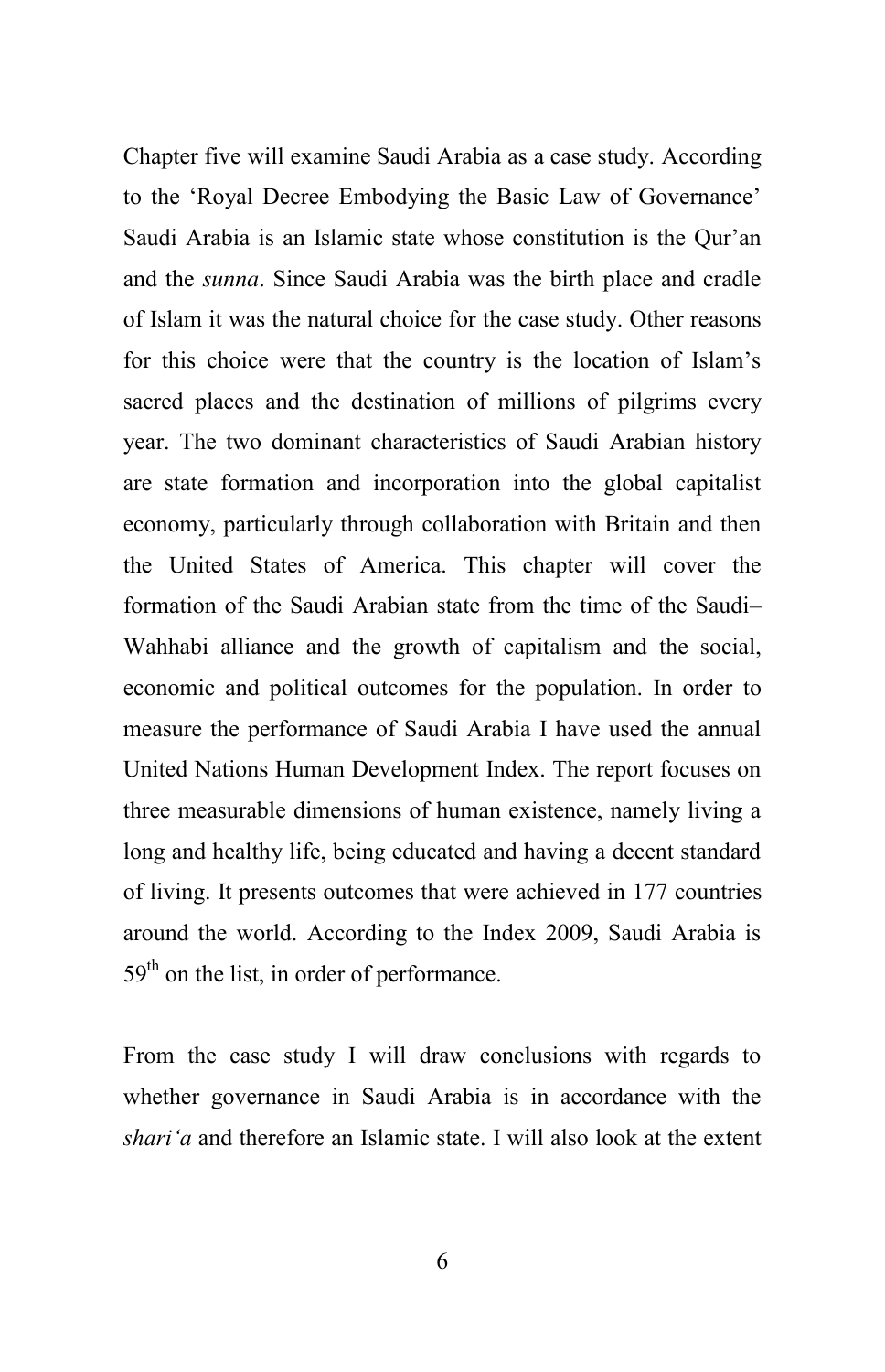Chapter five will examine Saudi Arabia as a case study. According to the 'Royal Decree Embodying the Basic Law of Governance' Saudi Arabia is an Islamic state whose constitution is the Qur'an and the *sunna*. Since Saudi Arabia was the birth place and cradle of Islam it was the natural choice for the case study. Other reasons for this choice were that the country is the location of Islam's sacred places and the destination of millions of pilgrims every year. The two dominant characteristics of Saudi Arabian history are state formation and incorporation into the global capitalist economy, particularly through collaboration with Britain and then the United States of America. This chapter will cover the formation of the Saudi Arabian state from the time of the Saudi– Wahhabi alliance and the growth of capitalism and the social, economic and political outcomes for the population. In order to measure the performance of Saudi Arabia I have used the annual United Nations Human Development Index. The report focuses on three measurable dimensions of human existence, namely living a long and healthy life, being educated and having a decent standard of living. It presents outcomes that were achieved in 177 countries around the world. According to the Index 2009, Saudi Arabia is  $59<sup>th</sup>$  on the list, in order of performance.

From the case study I will draw conclusions with regards to whether governance in Saudi Arabia is in accordance with the *shari"a* and therefore an Islamic state. I will also look at the extent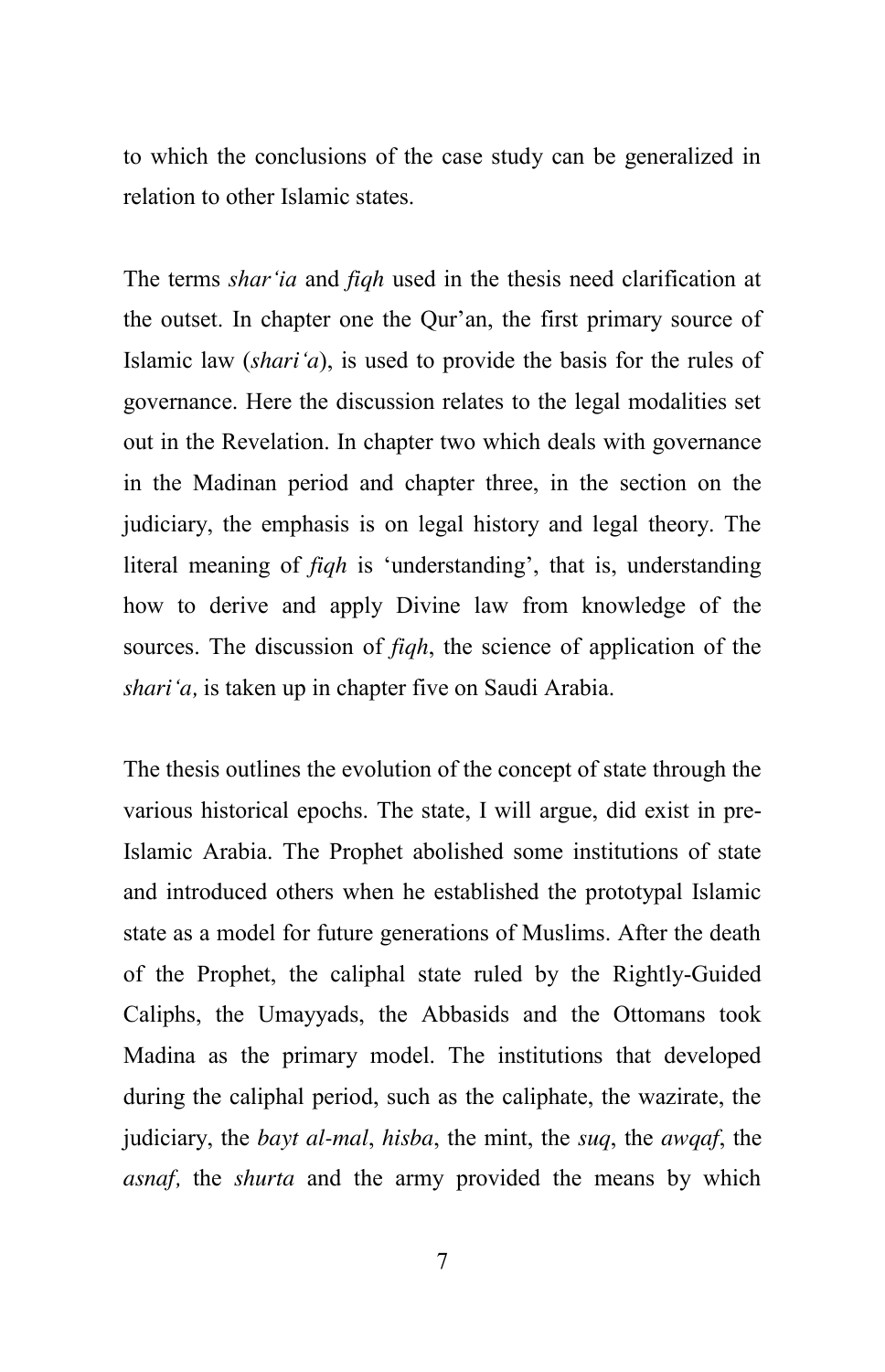to which the conclusions of the case study can be generalized in relation to other Islamic states.

The terms *shar"ia* and *fiqh* used in the thesis need clarification at the outset. In chapter one the Qur'an, the first primary source of Islamic law (*shari"a*), is used to provide the basis for the rules of governance. Here the discussion relates to the legal modalities set out in the Revelation. In chapter two which deals with governance in the Madinan period and chapter three, in the section on the judiciary, the emphasis is on legal history and legal theory. The literal meaning of *fiqh* is 'understanding', that is, understanding how to derive and apply Divine law from knowledge of the sources. The discussion of *fiqh*, the science of application of the *shari"a,* is taken up in chapter five on Saudi Arabia.

The thesis outlines the evolution of the concept of state through the various historical epochs. The state, I will argue, did exist in pre-Islamic Arabia. The Prophet abolished some institutions of state and introduced others when he established the prototypal Islamic state as a model for future generations of Muslims. After the death of the Prophet, the caliphal state ruled by the Rightly-Guided Caliphs, the Umayyads, the Abbasids and the Ottomans took Madina as the primary model. The institutions that developed during the caliphal period, such as the caliphate, the wazirate, the judiciary, the *bayt al-mal*, *hisba*, the mint, the *suq*, the *awqaf*, the *asnaf,* the *shurta* and the army provided the means by which